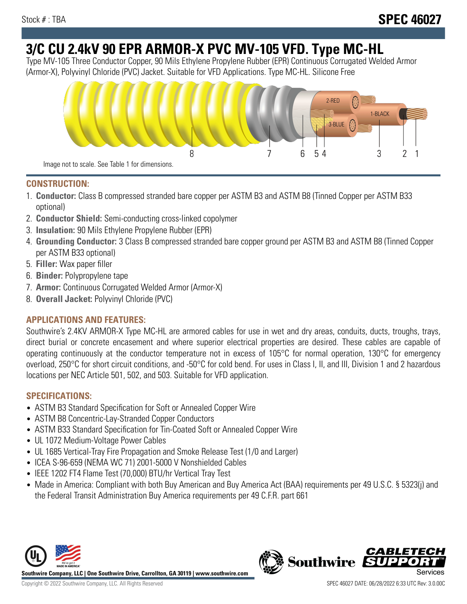# **3/C CU 2.4kV 90 EPR ARMOR-X PVC MV-105 VFD. Type MC-HL**

Type MV-105 Three Conductor Copper, 90 Mils Ethylene Propylene Rubber (EPR) Continuous Corrugated Welded Armor (Armor-X), Polyvinyl Chloride (PVC) Jacket. Suitable for VFD Applications. Type MC-HL. Silicone Free



## **CONSTRUCTION:**

- 1. **Conductor:** Class B compressed stranded bare copper per ASTM B3 and ASTM B8 (Tinned Copper per ASTM B33 optional)
- 2. **Conductor Shield:** Semi-conducting cross-linked copolymer
- 3. **Insulation:** 90 Mils Ethylene Propylene Rubber (EPR)
- 4. **Grounding Conductor:** 3 Class B compressed stranded bare copper ground per ASTM B3 and ASTM B8 (Tinned Copper per ASTM B33 optional)
- 5. **Filler:** Wax paper filler
- 6. **Binder:** Polypropylene tape
- 7. **Armor:** Continuous Corrugated Welded Armor (Armor-X)
- 8. **Overall Jacket:** Polyvinyl Chloride (PVC)

# **APPLICATIONS AND FEATURES:**

Southwire's 2.4KV ARMOR-X Type MC-HL are armored cables for use in wet and dry areas, conduits, ducts, troughs, trays, direct burial or concrete encasement and where superior electrical properties are desired. These cables are capable of operating continuously at the conductor temperature not in excess of 105°C for normal operation, 130°C for emergency overload, 250°C for short circuit conditions, and -50°C for cold bend. For uses in Class I, II, and III, Division 1 and 2 hazardous locations per NEC Article 501, 502, and 503. Suitable for VFD application.

# **SPECIFICATIONS:**

- ASTM B3 Standard Specification for Soft or Annealed Copper Wire
- ASTM B8 Concentric-Lay-Stranded Copper Conductors
- ASTM B33 Standard Specification for Tin-Coated Soft or Annealed Copper Wire
- UL 1072 Medium-Voltage Power Cables
- UL 1685 Vertical-Tray Fire Propagation and Smoke Release Test (1/0 and Larger)
- ICEA S-96-659 (NEMA WC 71) 2001-5000 V Nonshielded Cables
- IEEE 1202 FT4 Flame Test (70,000) BTU/hr Vertical Tray Test
- Made in America: Compliant with both Buy American and Buy America Act (BAA) requirements per 49 U.S.C. § 5323(j) and the Federal Transit Administration Buy America requirements per 49 C.F.R. part 661